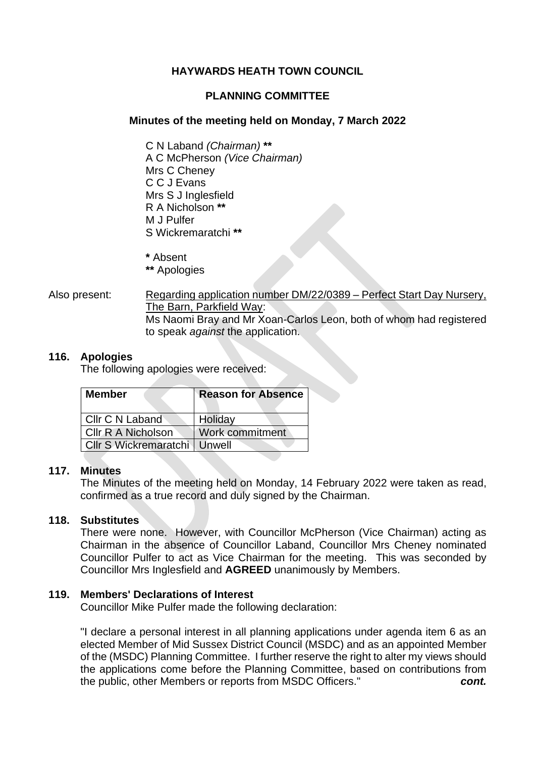# **HAYWARDS HEATH TOWN COUNCIL**

# **PLANNING COMMITTEE**

# **Minutes of the meeting held on Monday, 7 March 2022**

C N Laband *(Chairman)* **\*\*** A C McPherson *(Vice Chairman)* Mrs C Cheney C C J Evans Mrs S J Inglesfield R A Nicholson **\*\*** M J Pulfer S Wickremaratchi **\*\***

**\*** Absent

- **\*\*** Apologies
- Also present: Regarding application number DM/22/0389 Perfect Start Day Nursery, The Barn, Parkfield Way: Ms Naomi Bray and Mr Xoan-Carlos Leon, both of whom had registered to speak *against* the application.

# **116. Apologies**

The following apologies were received:

| <b>Member</b>             | <b>Reason for Absence</b> |
|---------------------------|---------------------------|
| Cllr C N Laband           | Holiday                   |
| <b>CIIr R A Nicholson</b> | Work commitment           |
| Cllr S Wickremaratchi     | Unwell                    |

# **117. Minutes**

The Minutes of the meeting held on Monday, 14 February 2022 were taken as read, confirmed as a true record and duly signed by the Chairman.

# **118. Substitutes**

There were none. However, with Councillor McPherson (Vice Chairman) acting as Chairman in the absence of Councillor Laband, Councillor Mrs Cheney nominated Councillor Pulfer to act as Vice Chairman for the meeting. This was seconded by Councillor Mrs Inglesfield and **AGREED** unanimously by Members.

# **119. Members' Declarations of Interest**

Councillor Mike Pulfer made the following declaration:

"I declare a personal interest in all planning applications under agenda item 6 as an elected Member of Mid Sussex District Council (MSDC) and as an appointed Member of the (MSDC) Planning Committee. I further reserve the right to alter my views should the applications come before the Planning Committee, based on contributions from the public, other Members or reports from MSDC Officers." *cont.*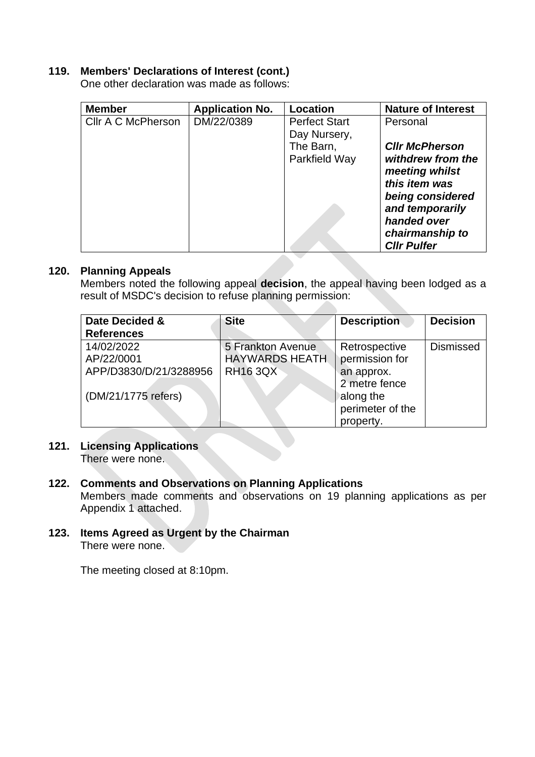# **119. Members' Declarations of Interest (cont.)**

One other declaration was made as follows:

| <b>Member</b>      | <b>Application No.</b> | <b>Location</b>      | <b>Nature of Interest</b> |
|--------------------|------------------------|----------------------|---------------------------|
| Cllr A C McPherson | DM/22/0389             | <b>Perfect Start</b> | Personal                  |
|                    |                        | Day Nursery,         |                           |
|                    |                        | The Barn,            | <b>CIIr McPherson</b>     |
|                    |                        | Parkfield Way        | withdrew from the         |
|                    |                        |                      | meeting whilst            |
|                    |                        |                      | this item was             |
|                    |                        |                      | being considered          |
|                    |                        |                      | and temporarily           |
|                    |                        |                      | handed over               |
|                    |                        |                      | chairmanship to           |
|                    |                        |                      | <b>Cllr Pulfer</b>        |

# **120. Planning Appeals**

Members noted the following appeal **decision**, the appeal having been lodged as a result of MSDC's decision to refuse planning permission:

| Date Decided &<br><b>References</b>                                       | <b>Site</b>                                                   | <b>Description</b>                                                                              | <b>Decision</b>  |
|---------------------------------------------------------------------------|---------------------------------------------------------------|-------------------------------------------------------------------------------------------------|------------------|
| 14/02/2022<br>AP/22/0001<br>APP/D3830/D/21/3288956<br>(DM/21/1775 refers) | 5 Frankton Avenue<br><b>HAYWARDS HEATH</b><br><b>RH16 3QX</b> | Retrospective<br>permission for<br>an approx.<br>2 metre fence<br>along the<br>perimeter of the | <b>Dismissed</b> |
|                                                                           |                                                               | property.                                                                                       |                  |

# **121. Licensing Applications**

There were none.

# **122. Comments and Observations on Planning Applications**

Members made comments and observations on 19 planning applications as per Appendix 1 attached.

**123. Items Agreed as Urgent by the Chairman** There were none.

The meeting closed at 8:10pm.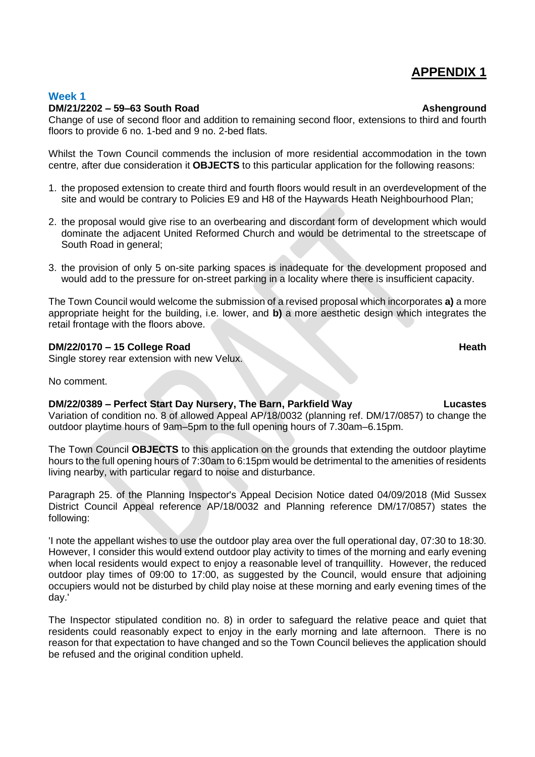# **APPENDIX 1**

# **Week 1**

### **DM/21/2202 – 59–63 South Road Ashenground**

Change of use of second floor and addition to remaining second floor, extensions to third and fourth floors to provide 6 no. 1-bed and 9 no. 2-bed flats.

Whilst the Town Council commends the inclusion of more residential accommodation in the town centre, after due consideration it **OBJECTS** to this particular application for the following reasons:

- 1. the proposed extension to create third and fourth floors would result in an overdevelopment of the site and would be contrary to Policies E9 and H8 of the Haywards Heath Neighbourhood Plan;
- 2. the proposal would give rise to an overbearing and discordant form of development which would dominate the adjacent United Reformed Church and would be detrimental to the streetscape of South Road in general;
- 3. the provision of only 5 on-site parking spaces is inadequate for the development proposed and would add to the pressure for on-street parking in a locality where there is insufficient capacity.

The Town Council would welcome the submission of a revised proposal which incorporates **a)** a more appropriate height for the building, i.e. lower, and **b)** a more aesthetic design which integrates the retail frontage with the floors above.

### **DM/22/0170 – 15 College Road Heath**

Single storey rear extension with new Velux.

No comment.

**DM/22/0389 – Perfect Start Day Nursery, The Barn, Parkfield Way Lucastes** Variation of condition no. 8 of allowed Appeal AP/18/0032 (planning ref. DM/17/0857) to change the outdoor playtime hours of 9am–5pm to the full opening hours of 7.30am–6.15pm.

The Town Council **OBJECTS** to this application on the grounds that extending the outdoor playtime hours to the full opening hours of 7:30am to 6:15pm would be detrimental to the amenities of residents living nearby, with particular regard to noise and disturbance.

Paragraph 25. of the Planning Inspector's Appeal Decision Notice dated 04/09/2018 (Mid Sussex District Council Appeal reference AP/18/0032 and Planning reference DM/17/0857) states the following:

'I note the appellant wishes to use the outdoor play area over the full operational day, 07:30 to 18:30. However, I consider this would extend outdoor play activity to times of the morning and early evening when local residents would expect to enjoy a reasonable level of tranquillity. However, the reduced outdoor play times of 09:00 to 17:00, as suggested by the Council, would ensure that adjoining occupiers would not be disturbed by child play noise at these morning and early evening times of the day.'

The Inspector stipulated condition no. 8) in order to safeguard the relative peace and quiet that residents could reasonably expect to enjoy in the early morning and late afternoon. There is no reason for that expectation to have changed and so the Town Council believes the application should be refused and the original condition upheld.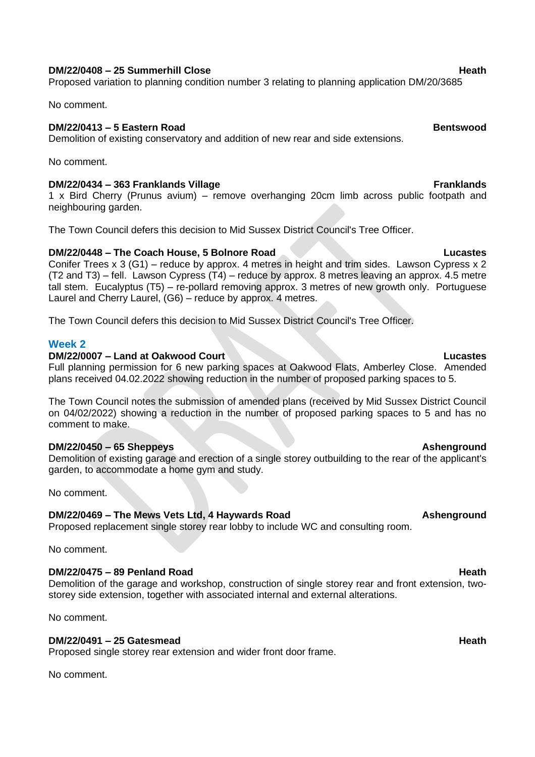### **DM/22/0408 – 25 Summerhill Close Heath**

Proposed variation to planning condition number 3 relating to planning application DM/20/3685

No comment.

# **DM/22/0413 – 5 Eastern Road Bentswood**

Demolition of existing conservatory and addition of new rear and side extensions.

No comment.

# **DM/22/0434 – 363 Franklands Village Franklands**

1 x Bird Cherry (Prunus avium) – remove overhanging 20cm limb across public footpath and neighbouring garden.

The Town Council defers this decision to Mid Sussex District Council's Tree Officer.

# **DM/22/0448 – The Coach House, 5 Bolnore Road Lucastes**

Conifer Trees x 3 (G1) – reduce by approx. 4 metres in height and trim sides. Lawson Cypress x 2 (T2 and T3) – fell. Lawson Cypress (T4) – reduce by approx. 8 metres leaving an approx. 4.5 metre tall stem. Eucalyptus (T5) – re-pollard removing approx. 3 metres of new growth only. Portuguese Laurel and Cherry Laurel, (G6) – reduce by approx. 4 metres.

The Town Council defers this decision to Mid Sussex District Council's Tree Officer.

# **Week 2**

# **DM/22/0007 – Land at Oakwood Court Lucastes**

Full planning permission for 6 new parking spaces at Oakwood Flats, Amberley Close. Amended plans received 04.02.2022 showing reduction in the number of proposed parking spaces to 5.

The Town Council notes the submission of amended plans (received by Mid Sussex District Council on 04/02/2022) showing a reduction in the number of proposed parking spaces to 5 and has no comment to make.

# **DM/22/0450 – 65 Sheppeys Ashenground**

Demolition of existing garage and erection of a single storey outbuilding to the rear of the applicant's garden, to accommodate a home gym and study.

No comment.

# **DM/22/0469 – The Mews Vets Ltd, 4 Haywards Road Ashenground**

Proposed replacement single storey rear lobby to include WC and consulting room.

No comment.

# **DM/22/0475 – 89 Penland Road Heath**

Demolition of the garage and workshop, construction of single storey rear and front extension, twostorey side extension, together with associated internal and external alterations.

No comment.

# **DM/22/0491 – 25 Gatesmead Heath**

Proposed single storey rear extension and wider front door frame.

No comment.